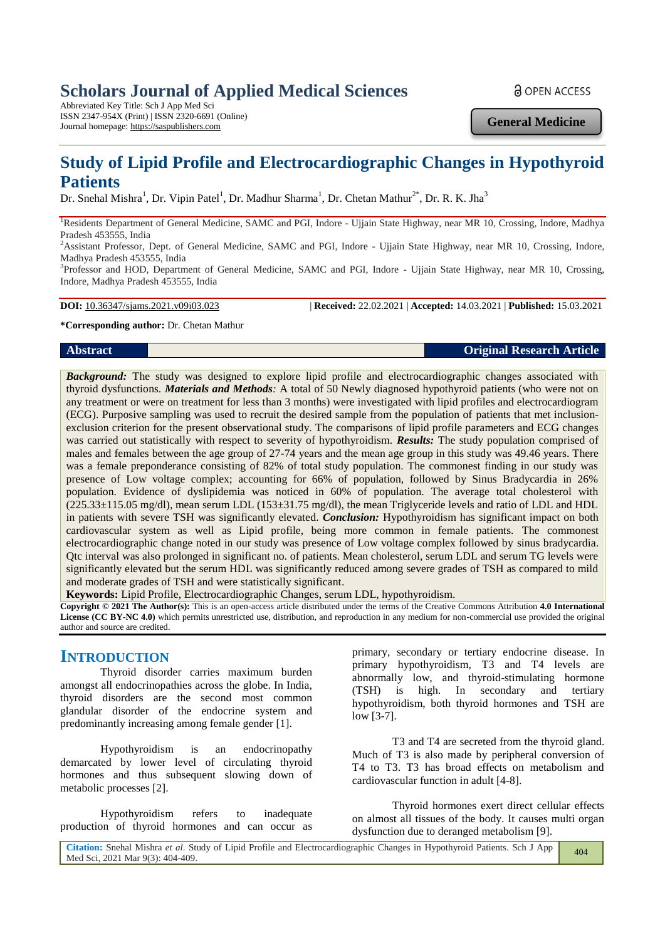# **Scholars Journal of Applied Medical Sciences**

Abbreviated Key Title: Sch J App Med Sci ISSN 2347-954X (Print) | ISSN 2320-6691 (Online) Journal homepage: https://saspublishers.com

**a** OPEN ACCESS

**General Medicine**

# **Study of Lipid Profile and Electrocardiographic Changes in Hypothyroid Patients**

Dr. Snehal Mishra<sup>1</sup>, Dr. Vipin Patel<sup>1</sup>, Dr. Madhur Sharma<sup>1</sup>, Dr. Chetan Mathur<sup>2\*</sup>, Dr. R. K. Jha<sup>3</sup>

<sup>1</sup>Residents Department of General Medicine, SAMC and PGI, Indore - Ujjain State Highway, near MR 10, Crossing, Indore, Madhya Pradesh 453555, India

<sup>2</sup>Assistant Professor, Dept. of General Medicine, SAMC and PGI, Indore - Ujjain State Highway, near MR 10, Crossing, Indore, Madhya Pradesh 453555, India

<sup>3</sup>Professor and HOD, Department of General Medicine, SAMC and PGI, Indore - Ujjain State Highway, near MR 10, Crossing, Indore, Madhya Pradesh 453555, India

**DOI:** 10.36347/sjams.2021.v09i03.023 | **Received:** 22.02.2021 | **Accepted:** 14.03.2021 | **Published:** 15.03.2021

#### **\*Corresponding author:** Dr. Chetan Mathur

#### **Abstract Original Research Article**

*Background:* The study was designed to explore lipid profile and electrocardiographic changes associated with thyroid dysfunctions. *Materials and Methods:* A total of 50 Newly diagnosed hypothyroid patients (who were not on any treatment or were on treatment for less than 3 months) were investigated with lipid profiles and electrocardiogram (ECG). Purposive sampling was used to recruit the desired sample from the population of patients that met inclusionexclusion criterion for the present observational study. The comparisons of lipid profile parameters and ECG changes was carried out statistically with respect to severity of hypothyroidism. *Results:* The study population comprised of males and females between the age group of 27-74 years and the mean age group in this study was 49.46 years. There was a female preponderance consisting of 82% of total study population. The commonest finding in our study was presence of Low voltage complex; accounting for 66% of population, followed by Sinus Bradycardia in 26% population. Evidence of dyslipidemia was noticed in 60% of population. The average total cholesterol with  $(225.33\pm115.05 \text{ mg/dl})$ , mean serum LDL  $(153\pm31.75 \text{ mg/dl})$ , the mean Triglyceride levels and ratio of LDL and HDL in patients with severe TSH was significantly elevated. *Conclusion:* Hypothyroidism has significant impact on both cardiovascular system as well as Lipid profile, being more common in female patients. The commonest electrocardiographic change noted in our study was presence of Low voltage complex followed by sinus bradycardia. Qtc interval was also prolonged in significant no. of patients. Mean cholesterol, serum LDL and serum TG levels were significantly elevated but the serum HDL was significantly reduced among severe grades of TSH as compared to mild and moderate grades of TSH and were statistically significant.

**Keywords:** Lipid Profile, Electrocardiographic Changes, serum LDL, hypothyroidism.

**Copyright © 2021 The Author(s):** This is an open-access article distributed under the terms of the Creative Commons Attribution **4.0 International License (CC BY-NC 4.0)** which permits unrestricted use, distribution, and reproduction in any medium for non-commercial use provided the original author and source are credited.

# **INTRODUCTION**

Thyroid disorder carries maximum burden amongst all endocrinopathies across the globe. In India, thyroid disorders are the second most common glandular disorder of the endocrine system and predominantly increasing among female gender [1].

Hypothyroidism is an endocrinopathy demarcated by lower level of circulating thyroid hormones and thus subsequent slowing down of metabolic processes [2].

Hypothyroidism refers to inadequate production of thyroid hormones and can occur as

primary, secondary or tertiary endocrine disease. In primary hypothyroidism, T3 and T4 levels are abnormally low, and thyroid-stimulating hormone (TSH) is high. In secondary and tertiary hypothyroidism, both thyroid hormones and TSH are low [3-7].

T3 and T4 are secreted from the thyroid gland. Much of T3 is also made by peripheral conversion of T4 to T3. T3 has broad effects on metabolism and cardiovascular function in adult [4-8].

Thyroid hormones exert direct cellular effects on almost all tissues of the body. It causes multi organ dysfunction due to deranged metabolism [9].

| Citation: Snehal Mishra et al. Study of Lipid Profile and Electrocardiographic Changes in Hypothyroid Patients. Sch J App | 404 |
|---------------------------------------------------------------------------------------------------------------------------|-----|
| Med Sci, 2021 Mar 9(3): 404-409.                                                                                          |     |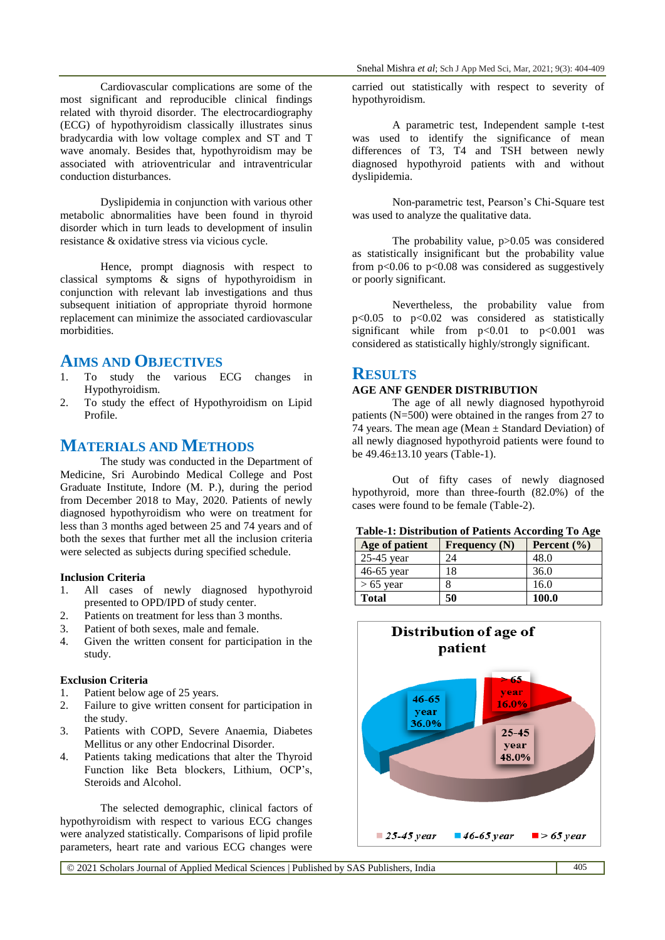Cardiovascular complications are some of the most significant and reproducible clinical findings related with thyroid disorder. The electrocardiography (ECG) of hypothyroidism classically illustrates sinus bradycardia with low voltage complex and ST and T wave anomaly. Besides that, hypothyroidism may be associated with atrioventricular and intraventricular conduction disturbances.

Dyslipidemia in conjunction with various other metabolic abnormalities have been found in thyroid disorder which in turn leads to development of insulin resistance & oxidative stress via vicious cycle.

Hence, prompt diagnosis with respect to classical symptoms & signs of hypothyroidism in conjunction with relevant lab investigations and thus subsequent initiation of appropriate thyroid hormone replacement can minimize the associated cardiovascular morbidities.

# **AIMS AND OBJECTIVES**

- 1. To study the various ECG changes in Hypothyroidism.
- 2. To study the effect of Hypothyroidism on Lipid Profile.

# **MATERIALS AND METHODS**

The study was conducted in the Department of Medicine, Sri Aurobindo Medical College and Post Graduate Institute, Indore (M. P.), during the period from December 2018 to May, 2020. Patients of newly diagnosed hypothyroidism who were on treatment for less than 3 months aged between 25 and 74 years and of both the sexes that further met all the inclusion criteria were selected as subjects during specified schedule.

#### **Inclusion Criteria**

- 1. All cases of newly diagnosed hypothyroid presented to OPD/IPD of study center.
- 2. Patients on treatment for less than 3 months.
- 3. Patient of both sexes, male and female.
- 4. Given the written consent for participation in the study.

#### **Exclusion Criteria**

- 1. Patient below age of 25 years.
- 2. Failure to give written consent for participation in the study.
- 3. Patients with COPD, Severe Anaemia, Diabetes Mellitus or any other Endocrinal Disorder.
- 4. Patients taking medications that alter the Thyroid Function like Beta blockers, Lithium, OCP's, Steroids and Alcohol.

The selected demographic, clinical factors of hypothyroidism with respect to various ECG changes were analyzed statistically. Comparisons of lipid profile parameters, heart rate and various ECG changes were

carried out statistically with respect to severity of hypothyroidism.

A parametric test, Independent sample t-test was used to identify the significance of mean differences of T3, T4 and TSH between newly diagnosed hypothyroid patients with and without dyslipidemia.

Non-parametric test, Pearson's Chi-Square test was used to analyze the qualitative data.

The probability value, p>0.05 was considered as statistically insignificant but the probability value from  $p<0.06$  to  $p<0.08$  was considered as suggestively or poorly significant.

Nevertheless, the probability value from p<0.05 to p<0.02 was considered as statistically significant while from  $p<0.01$  to  $p<0.001$  was considered as statistically highly/strongly significant.

#### **RESULTS**

### **AGE ANF GENDER DISTRIBUTION**

The age of all newly diagnosed hypothyroid patients (N=500) were obtained in the ranges from 27 to 74 years. The mean age (Mean  $\pm$  Standard Deviation) of all newly diagnosed hypothyroid patients were found to be 49.46±13.10 years (Table-1).

Out of fifty cases of newly diagnosed hypothyroid, more than three-fourth (82.0%) of the cases were found to be female (Table-2).

#### **Table-1: Distribution of Patients According To Age**

| Age of patient | Frequency $(N)$ | Percent $(\% )$ |
|----------------|-----------------|-----------------|
| $25-45$ year   | 24              | 48.0            |
| 46-65 year     | 18              | 36.0            |
| $> 65$ year    |                 | 16.0            |
| <b>Total</b>   | 50              | 100.0           |



© 2021 Scholars Journal of Applied Medical Sciences | Published by SAS Publishers, India 405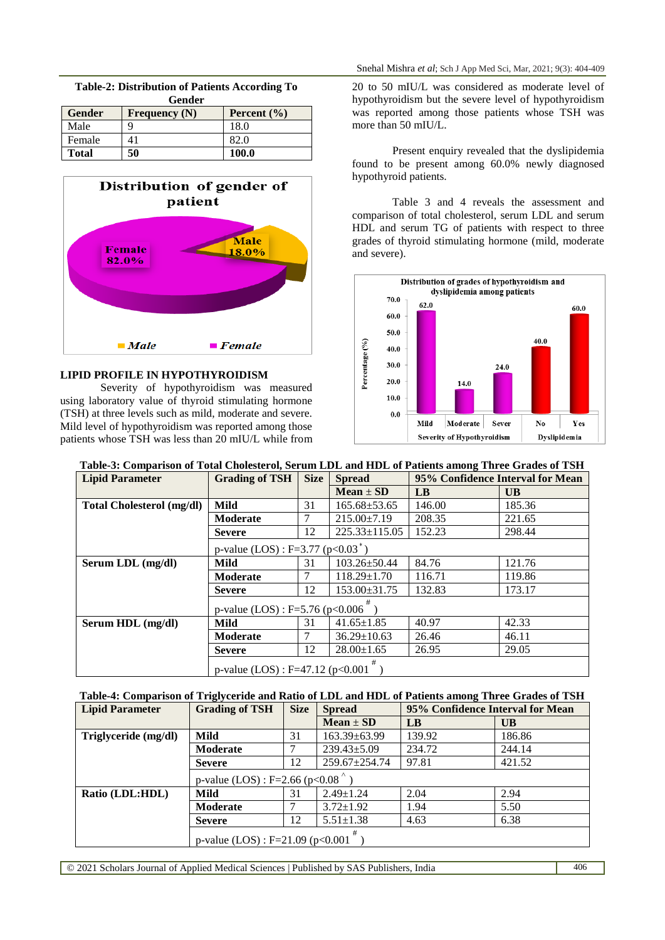#### **Table-2: Distribution of Patients According To Gender**

| <b>Gender</b> | Frequency $(N)$ | Percent $(\% )$ |
|---------------|-----------------|-----------------|
| Male          |                 | 18.0            |
| Female        | Æ               | 82.C            |
| <b>Total</b>  | 50              | 100.0           |



## **LIPID PROFILE IN HYPOTHYROIDISM**

Severity of hypothyroidism was measured using laboratory value of thyroid stimulating hormone (TSH) at three levels such as mild, moderate and severe. Mild level of hypothyroidism was reported among those patients whose TSH was less than 20 mIU/L while from 20 to 50 mIU/L was considered as moderate level of hypothyroidism but the severe level of hypothyroidism was reported among those patients whose TSH was more than 50 mIU/L.

Present enquiry revealed that the dyslipidemia found to be present among 60.0% newly diagnosed hypothyroid patients.

Table 3 and 4 reveals the assessment and comparison of total cholesterol, serum LDL and serum HDL and serum TG of patients with respect to three grades of thyroid stimulating hormone (mild, moderate and severe).



|  |  | Table-3: Comparison of Total Cholesterol, Serum LDL and HDL of Patients among Three Grades of TSH |  |
|--|--|---------------------------------------------------------------------------------------------------|--|
|  |  |                                                                                                   |  |
|  |  |                                                                                                   |  |

| <b>Lipid Parameter</b>           | <b>Grading of TSH</b>                 | <b>Size</b> | <b>Spread</b>       | 95% Confidence Interval for Mean |           |  |
|----------------------------------|---------------------------------------|-------------|---------------------|----------------------------------|-----------|--|
|                                  |                                       |             | $Mean \pm SD$       | LB                               | <b>UB</b> |  |
| <b>Total Cholesterol (mg/dl)</b> | Mild                                  | 31          | $165.68 \pm 53.65$  | 146.00                           | 185.36    |  |
|                                  | Moderate                              |             | $215.00 \pm 7.19$   | 208.35                           | 221.65    |  |
|                                  | <b>Severe</b>                         | 12          | $225.33 \pm 115.05$ | 152.23                           | 298.44    |  |
|                                  | p-value (LOS) : F=3.77 ( $p<0.03^*$ ) |             |                     |                                  |           |  |
| Serum LDL (mg/dl)                | Mild                                  | 31          | $103.26 \pm 50.44$  | 84.76                            | 121.76    |  |
|                                  | Moderate                              |             | $118.29 \pm 1.70$   | 116.71                           | 119.86    |  |
|                                  | <b>Severe</b>                         | 12          | 153.00±31.75        | 132.83                           | 173.17    |  |
|                                  | p-value (LOS) : $F=5.76$ (p<0.006     |             |                     |                                  |           |  |
| Serum HDL (mg/dl)                | Mild                                  | 31          | $41.65 \pm 1.85$    | 40.97                            | 42.33     |  |
|                                  | Moderate                              |             | $36.29 \pm 10.63$   | 26.46                            | 46.11     |  |
|                                  | <b>Severe</b>                         | 12          | $28.00 \pm 1.65$    | 26.95                            | 29.05     |  |
|                                  | p-value $(LOS)$ : F=47.12 (p<0.001    |             |                     |                                  |           |  |

### **Table-4: Comparison of Triglyceride and Ratio of LDL and HDL of Patients among Three Grades of TSH**

| <b>Lipid Parameter</b> | <b>Grading of TSH</b>               | <b>Size</b> | <b>Spread</b>       | 95% Confidence Interval for Mean |        |
|------------------------|-------------------------------------|-------------|---------------------|----------------------------------|--------|
|                        |                                     |             | $Mean \pm SD$       | LB                               | UB     |
| Triglyceride (mg/dl)   | Mild                                | 31          | $163.39 \pm 63.99$  | 139.92                           | 186.86 |
|                        | Moderate                            |             | $239.43 \pm 5.09$   | 234.72                           | 244.14 |
|                        | <b>Severe</b>                       | 12          | $259.67 \pm 254.74$ | 97.81                            | 421.52 |
|                        | p-value (LOS) : F=2.66 (p<0.08      |             |                     |                                  |        |
| Ratio (LDL:HDL)        | Mild                                | 31          | $2.49 \pm 1.24$     | 2.04                             | 2.94   |
|                        | Moderate                            |             | $3.72 \pm 1.92$     | 1.94                             | 5.50   |
|                        | <b>Severe</b>                       | 12          | $5.51 \pm 1.38$     | 4.63                             | 6.38   |
|                        | p-value $(LOS)$ : F=21.09 (p<0.001) |             |                     |                                  |        |

© 2021 Scholars Journal of Applied Medical Sciences | Published by SAS Publishers, India 406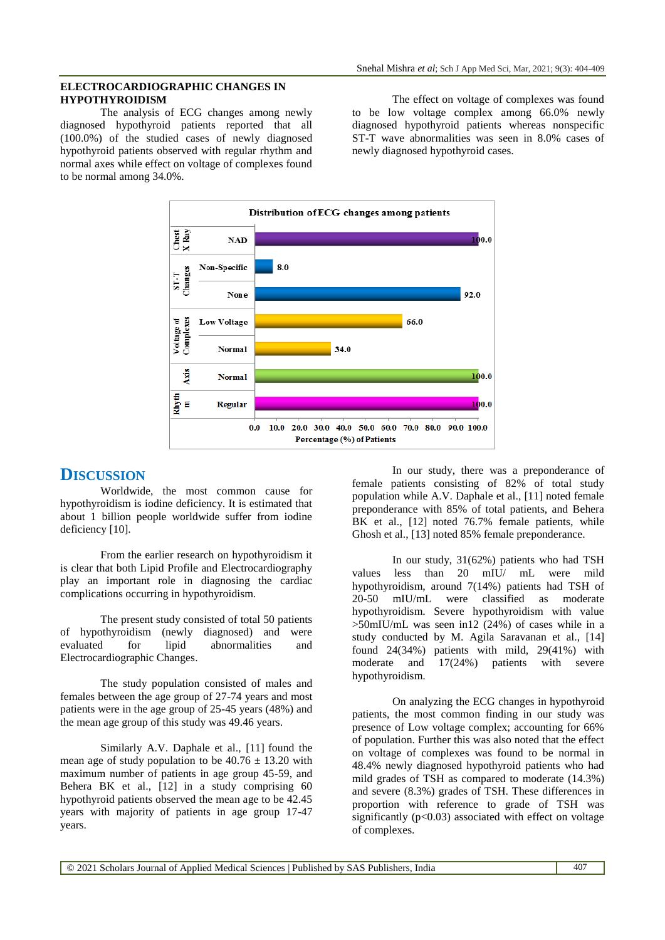#### **ELECTROCARDIOGRAPHIC CHANGES IN HYPOTHYROIDISM**

The analysis of ECG changes among newly diagnosed hypothyroid patients reported that all (100.0%) of the studied cases of newly diagnosed hypothyroid patients observed with regular rhythm and normal axes while effect on voltage of complexes found to be normal among 34.0%.

The effect on voltage of complexes was found to be low voltage complex among 66.0% newly diagnosed hypothyroid patients whereas nonspecific ST-T wave abnormalities was seen in 8.0% cases of newly diagnosed hypothyroid cases.



# **DISCUSSION**

Worldwide, the most common cause for hypothyroidism is iodine deficiency. It is estimated that about 1 billion people worldwide suffer from iodine deficiency [10].

From the earlier research on hypothyroidism it is clear that both Lipid Profile and Electrocardiography play an important role in diagnosing the cardiac complications occurring in hypothyroidism.

The present study consisted of total 50 patients of hypothyroidism (newly diagnosed) and were evaluated for lipid abnormalities and Electrocardiographic Changes.

The study population consisted of males and females between the age group of 27-74 years and most patients were in the age group of 25-45 years (48%) and the mean age group of this study was 49.46 years.

Similarly A.V. Daphale et al., [11] found the mean age of study population to be  $40.76 \pm 13.20$  with maximum number of patients in age group 45-59, and Behera BK et al., [12] in a study comprising 60 hypothyroid patients observed the mean age to be 42.45 years with majority of patients in age group 17-47 years.

In our study, there was a preponderance of female patients consisting of 82% of total study population while A.V. Daphale et al., [11] noted female preponderance with 85% of total patients, and Behera  $BK$  et al., [12] noted 76.7% female patients, while Ghosh et al., [13] noted 85% female preponderance.

In our study, 31(62%) patients who had TSH values less than 20 mIU/ mL were mild hypothyroidism, around 7(14%) patients had TSH of 20-50 mIU/mL were classified as moderate hypothyroidism. Severe hypothyroidism with value >50mIU/mL was seen in12 (24%) of cases while in a study conducted by M. Agila Saravanan et al., [14] found 24(34%) patients with mild, 29(41%) with moderate and 17(24%) patients with severe hypothyroidism.

On analyzing the ECG changes in hypothyroid patients, the most common finding in our study was presence of Low voltage complex; accounting for 66% of population. Further this was also noted that the effect on voltage of complexes was found to be normal in 48.4% newly diagnosed hypothyroid patients who had mild grades of TSH as compared to moderate (14.3%) and severe (8.3%) grades of TSH. These differences in proportion with reference to grade of TSH was significantly  $(p<0.03)$  associated with effect on voltage of complexes.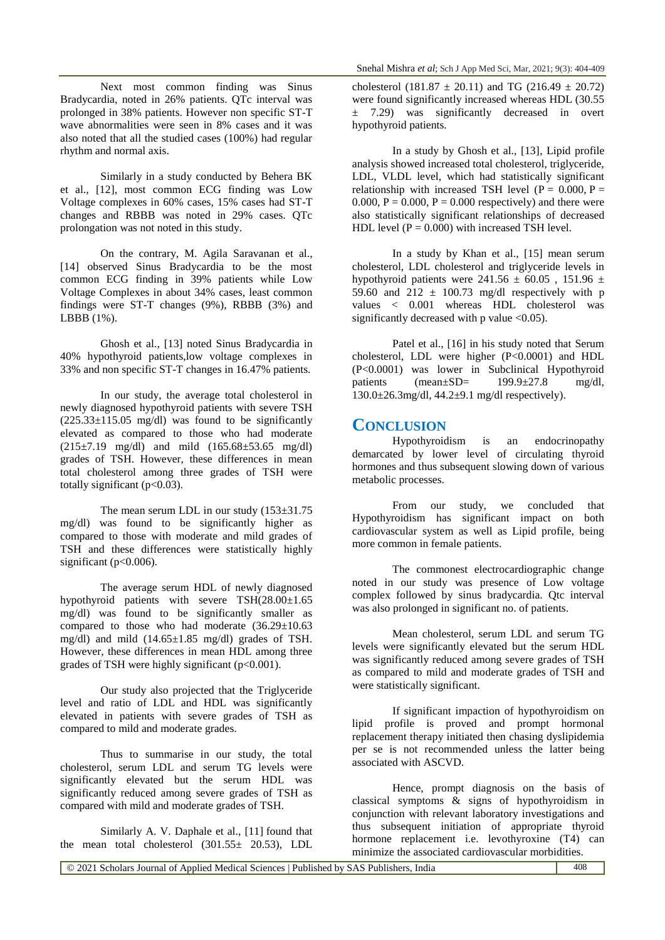Next most common finding was Sinus Bradycardia, noted in 26% patients. QTc interval was prolonged in 38% patients. However non specific ST-T wave abnormalities were seen in 8% cases and it was also noted that all the studied cases (100%) had regular rhythm and normal axis.

Similarly in a study conducted by Behera BK et al., [12], most common ECG finding was Low Voltage complexes in 60% cases, 15% cases had ST-T changes and RBBB was noted in 29% cases. QTc prolongation was not noted in this study.

On the contrary, M. Agila Saravanan et al., [14] observed Sinus Bradycardia to be the most common ECG finding in 39% patients while Low Voltage Complexes in about 34% cases, least common findings were ST-T changes (9%), RBBB (3%) and LBBB (1%).

Ghosh et al., [13] noted Sinus Bradycardia in 40% hypothyroid patients,low voltage complexes in 33% and non specific ST-T changes in 16.47% patients.

In our study, the average total cholesterol in newly diagnosed hypothyroid patients with severe TSH  $(225.33\pm115.05 \text{ mg/dl})$  was found to be significantly elevated as compared to those who had moderate  $(215\pm7.19 \text{ mg/dl})$  and mild  $(165.68\pm53.65 \text{ mg/dl})$ grades of TSH. However, these differences in mean total cholesterol among three grades of TSH were totally significant ( $p<0.03$ ).

The mean serum LDL in our study  $(153\pm31.75$ mg/dl) was found to be significantly higher as compared to those with moderate and mild grades of TSH and these differences were statistically highly significant ( $p<0.006$ ).

The average serum HDL of newly diagnosed hypothyroid patients with severe TSH(28.00±1.65  $mg/dl$ ) was found to be significantly smaller as compared to those who had moderate  $(36.29 \pm 10.63)$ mg/dl) and mild (14.65±1.85 mg/dl) grades of TSH. However, these differences in mean HDL among three grades of TSH were highly significant  $(p<0.001)$ .

Our study also projected that the Triglyceride level and ratio of LDL and HDL was significantly elevated in patients with severe grades of TSH as compared to mild and moderate grades.

Thus to summarise in our study, the total cholesterol, serum LDL and serum TG levels were significantly elevated but the serum HDL was significantly reduced among severe grades of TSH as compared with mild and moderate grades of TSH.

Similarly A. V. Daphale et al., [11] found that the mean total cholesterol (301.55± 20.53), LDL

cholesterol (181.87  $\pm$  20.11) and TG (216.49  $\pm$  20.72) were found significantly increased whereas HDL (30.55  $\pm$  7.29) was significantly decreased in overt hypothyroid patients.

In a study by Ghosh et al., [13], Lipid profile analysis showed increased total cholesterol, triglyceride, LDL, VLDL level, which had statistically significant relationship with increased TSH level ( $P = 0.000$ ,  $P =$ 0.000,  $P = 0.000$ ,  $P = 0.000$  respectively) and there were also statistically significant relationships of decreased HDL level  $(P = 0.000)$  with increased TSH level.

In a study by Khan et al., [15] mean serum cholesterol, LDL cholesterol and triglyceride levels in hypothyroid patients were  $241.56 \pm 60.05$ , 151.96  $\pm$ 59.60 and  $212 \pm 100.73$  mg/dl respectively with p values < 0.001 whereas HDL cholesterol was significantly decreased with p value  $\langle 0.05 \rangle$ .

Patel et al., [16] in his study noted that Serum cholesterol, LDL were higher (P<0.0001) and HDL (P<0.0001) was lower in Subclinical Hypothyroid patients (mean±SD= 199.9±27.8 mg/dl, 130.0±26.3mg/dl, 44.2±9.1 mg/dl respectively).

### **CONCLUSION**

Hypothyroidism is an endocrinopathy demarcated by lower level of circulating thyroid hormones and thus subsequent slowing down of various metabolic processes.

From our study, we concluded that Hypothyroidism has significant impact on both cardiovascular system as well as Lipid profile, being more common in female patients.

The commonest electrocardiographic change noted in our study was presence of Low voltage complex followed by sinus bradycardia. Qtc interval was also prolonged in significant no. of patients.

Mean cholesterol, serum LDL and serum TG levels were significantly elevated but the serum HDL was significantly reduced among severe grades of TSH as compared to mild and moderate grades of TSH and were statistically significant.

If significant impaction of hypothyroidism on lipid profile is proved and prompt hormonal replacement therapy initiated then chasing dyslipidemia per se is not recommended unless the latter being associated with ASCVD.

Hence, prompt diagnosis on the basis of classical symptoms & signs of hypothyroidism in conjunction with relevant laboratory investigations and thus subsequent initiation of appropriate thyroid hormone replacement i.e. levothyroxine (T4) can minimize the associated cardiovascular morbidities.

© 2021 Scholars Journal of Applied Medical Sciences | Published by SAS Publishers, India 408